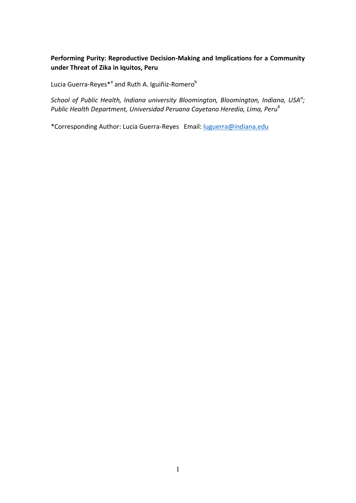# **Performing Purity: Reproductive Decision-Making and Implications for a Community under Threat of Zika in Iquitos, Peru**

Lucia Guerra-Reyes<sup>\*a</sup> and Ruth A. Iguiñiz-Romero<sup>b</sup>

*School of Public Health, Indiana university Bloomington, Bloomington, Indiana, USA<sup>a</sup> ; Public Health Department, Universidad Peruana Cayetano Heredia, Lima, Peru<sup>b</sup>*

\*Corresponding Author: Lucia Guerra-Reyes Email: [luguerra@indiana.edu](mailto:luguerra@indiana.edu)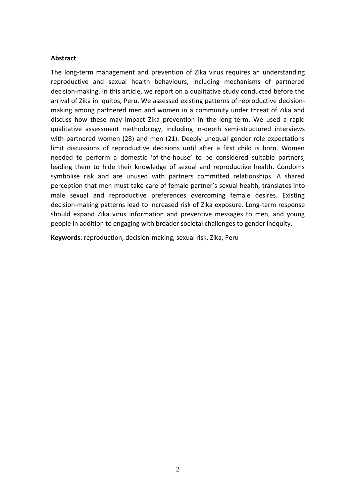### **Abstract**

The long-term management and prevention of Zika virus requires an understanding reproductive and sexual health behaviours, including mechanisms of partnered decision-making. In this article, we report on a qualitative study conducted before the arrival of Zika in Iquitos, Peru. We assessed existing patterns of reproductive decisionmaking among partnered men and women in a community under threat of Zika and discuss how these may impact Zika prevention in the long-term. We used a rapid qualitative assessment methodology, including in-depth semi-structured interviews with partnered women (28) and men (21). Deeply unequal gender role expectations limit discussions of reproductive decisions until after a first child is born. Women needed to perform a domestic 'of-the-house' to be considered suitable partners, leading them to hide their knowledge of sexual and reproductive health. Condoms symbolise risk and are unused with partners committed relationships. A shared perception that men must take care of female partner's sexual health, translates into male sexual and reproductive preferences overcoming female desires. Existing decision-making patterns lead to increased risk of Zika exposure. Long-term response should expand Zika virus information and preventive messages to men, and young people in addition to engaging with broader societal challenges to gender inequity.

**Keywords**: reproduction, decision-making, sexual risk, Zika, Peru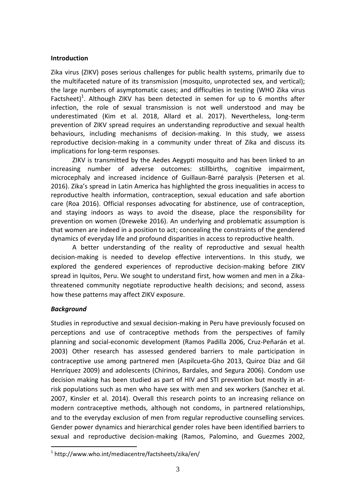## **Introduction**

Zika virus (ZIKV) poses serious challenges for public health systems, primarily due to the multifaceted nature of its transmission (mosquito, unprotected sex, and vertical); the large numbers of asymptomatic cases; and difficulties in testing (WHO Zika virus Factsheet)<sup>1</sup>. Although ZIKV has been detected in semen for up to 6 months after infection, the role of sexual transmission is not well understood and may be underestimated (Kim et al. 2018, Allard et al. 2017). Nevertheless, long-term prevention of ZIKV spread requires an understanding reproductive and sexual health behaviours, including mechanisms of decision-making. In this study, we assess reproductive decision-making in a community under threat of Zika and discuss its implications for long-term responses.

ZIKV is transmitted by the Aedes Aegypti mosquito and has been linked to an increasing number of adverse outcomes: stillbirths, cognitive impairment, microcephaly and increased incidence of Guillaun-Barré paralysis (Petersen et al. 2016). Zika's spread in Latin America has highlighted the gross inequalities in access to reproductive health information, contraception, sexual education and safe abortion care (Roa 2016). Official responses advocating for abstinence, use of contraception, and staying indoors as ways to avoid the disease, place the responsibility for prevention on women (Dreweke 2016). An underlying and problematic assumption is that women are indeed in a position to act; concealing the constraints of the gendered dynamics of everyday life and profound disparities in access to reproductive health.

A better understanding of the reality of reproductive and sexual health decision-making is needed to develop effective interventions. In this study, we explored the gendered experiences of reproductive decision-making before ZIKV spread in Iquitos, Peru. We sought to understand first, how women and men in a Zikathreatened community negotiate reproductive health decisions; and second, assess how these patterns may affect ZIKV exposure.

## *Background*

Studies in reproductive and sexual decision-making in Peru have previously focused on perceptions and use of contraceptive methods from the perspectives of family planning and social-economic development (Ramos Padilla 2006, Cruz-Peñarán et al. 2003) Other research has assessed gendered barriers to male participation in contraceptive use among partnered men (Aspilcueta-Gho 2013, Quiroz Díaz and Gil Henríquez 2009) and adolescents (Chirinos, Bardales, and Segura 2006). Condom use decision making has been studied as part of HIV and STI prevention but mostly in atrisk populations such as men who have sex with men and sex workers (Sanchez et al. 2007, Kinsler et al. 2014). Overall this research points to an increasing reliance on modern contraceptive methods, although not condoms, in partnered relationships, and to the everyday exclusion of men from regular reproductive counselling services. Gender power dynamics and hierarchical gender roles have been identified barriers to sexual and reproductive decision-making (Ramos, Palomino, and Guezmes 2002,

<sup>1</sup> http://www.who.int/mediacentre/factsheets/zika/en/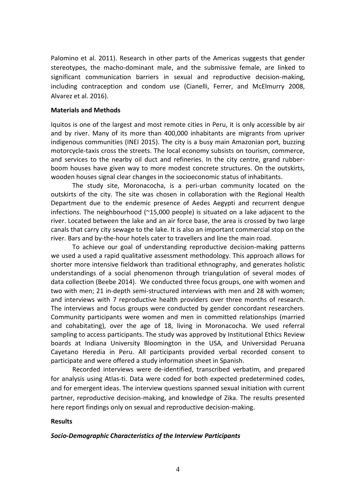Palomino et al. 2011). Research in other parts of the Americas suggests that gender stereotypes, the macho-dominant male, and the submissive female, are linked to significant communication barriers in sexual and reproductive decision-making, including contraception and condom use (Cianelli, Ferrer, and McElmurry 2008, Alvarez et al. 2016).

### **Materials and Methods**

Iquitos is one of the largest and most remote cities in Peru, it is only accessible by air and by river. Many of its more than 400,000 inhabitants are migrants from upriver indigenous communities (INEI 2015). The city is a busy main Amazonian port, buzzing motorcycle-taxis cross the streets. The local economy subsists on tourism, commerce, and services to the nearby oil duct and refineries. In the city centre, grand rubberboom houses have given way to more modest concrete structures. On the outskirts, wooden houses signal clear changes in the socioeconomic status of inhabitants.

The study site, Moronacocha, is a peri-urban community located on the outskirts of the city. The site was chosen in collaboration with the Regional Health Department due to the endemic presence of Aedes Aegypti and recurrent dengue infections. The neighbourhood (~15,000 people) is situated on a lake adjacent to the river. Located between the lake and an air force base, the area is crossed by two large canals that carry city sewage to the lake. It is also an important commercial stop on the river. Bars and by-the-hour hotels cater to travellers and line the main road.

To achieve our goal of understanding reproductive decision-making patterns we used a used a rapid qualitative assessment methodology. This approach allows for shorter more intensive fieldwork than traditional ethnography, and generates holistic understandings of a social phenomenon through triangulation of several modes of data collection (Beebe 2014). We conducted three focus groups, one with women and two with men; 21 in-depth semi-structured interviews with men and 28 with women; and interviews with 7 reproductive health providers over three months of research. The interviews and focus groups were conducted by gender concordant researchers. Community participants were women and men in committed relationships (married and cohabitating), over the age of 18, living in Moronacocha. We used referral sampling to access participants. The study was approved by Institutional Ethics Review boards at Indiana University Bloomington in the USA, and Universidad Peruana Cayetano Heredia in Peru. All participants provided verbal recorded consent to participate and were offered a study information sheet in Spanish.

Recorded interviews were de-identified, transcribed verbatim, and prepared for analysis using Atlas-ti. Data were coded for both expected predetermined codes, and for emergent ideas. The interview questions spanned sexual initiation with current partner, reproductive decision-making, and knowledge of Zika. The results presented here report findings only on sexual and reproductive decision-making.

#### **Results**

#### *Socio-Demographic Characteristics of the Interview Participants*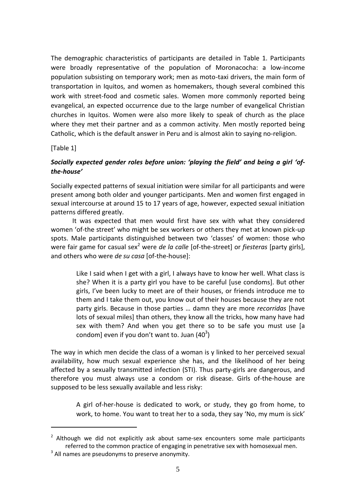The demographic characteristics of participants are detailed in Table 1. Participants were broadly representative of the population of Moronacocha: a low-income population subsisting on temporary work; men as moto-taxi drivers, the main form of transportation in Iquitos, and women as homemakers, though several combined this work with street-food and cosmetic sales. Women more commonly reported being evangelical, an expected occurrence due to the large number of evangelical Christian churches in Iquitos. Women were also more likely to speak of church as the place where they met their partner and as a common activity. Men mostly reported being Catholic, which is the default answer in Peru and is almost akin to saying no-religion.

## [Table 1]

# *Socially expected gender roles before union: 'playing the field' and being a girl 'ofthe-house'*

Socially expected patterns of sexual initiation were similar for all participants and were present among both older and younger participants. Men and women first engaged in sexual intercourse at around 15 to 17 years of age, however, expected sexual initiation patterns differed greatly.

It was expected that men would first have sex with what they considered women 'of-the street' who might be sex workers or others they met at known pick-up spots. Male participants distinguished between two 'classes' of women: those who were fair game for casual sex<sup>2</sup> were *de la calle* [of-the-street] or *fiesteras* [party girls], and others who were *de su casa* [of-the-house]:

Like I said when I get with a girl, I always have to know her well. What class is she? When it is a party girl you have to be careful [use condoms]. But other girls, I've been lucky to meet are of their houses, or friends introduce me to them and I take them out, you know out of their houses because they are not party girls. Because in those parties … damn they are more *recorridas* [have lots of sexual miles] than others, they know all the tricks, how many have had sex with them? And when you get there so to be safe you must use [a condom] even if you don't want to. Juan (40<sup>3</sup>)

The way in which men decide the class of a woman is y linked to her perceived sexual availability, how much sexual experience she has, and the likelihood of her being affected by a sexually transmitted infection (STI). Thus party-girls are dangerous, and therefore you must always use a condom or risk disease. Girls of-the-house are supposed to be less sexually available and less risky:

A girl of-her-house is dedicated to work, or study, they go from home, to work, to home. You want to treat her to a soda, they say 'No, my mum is sick'

<sup>&</sup>lt;sup>2</sup> Although we did not explicitly ask about same-sex encounters some male participants referred to the common practice of engaging in penetrative sex with homosexual men.

 $3$  All names are pseudonyms to preserve anonymity.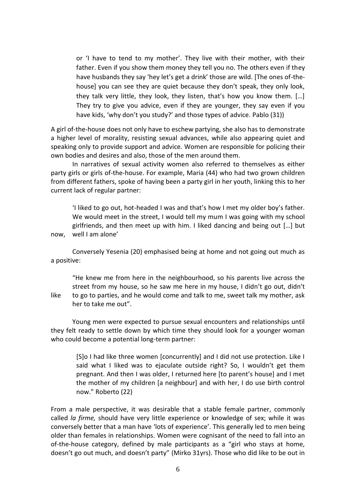or 'I have to tend to my mother'. They live with their mother, with their father. Even if you show them money they tell you no. The others even if they have husbands they say 'hey let's get a drink' those are wild. [The ones of-thehouse] you can see they are quiet because they don't speak, they only look, they talk very little, they look, they listen, that's how you know them. […] They try to give you advice, even if they are younger, they say even if you have kids, 'why don't you study?' and those types of advice. Pablo (31))

A girl of-the-house does not only have to eschew partying, she also has to demonstrate a higher level of morality, resisting sexual advances, while also appearing quiet and speaking only to provide support and advice. Women are responsible for policing their own bodies and desires and also, those of the men around them.

In narratives of sexual activity women also referred to themselves as either party girls or girls of-the-house. For example, Maria (44) who had two grown children from different fathers, spoke of having been a party girl in her youth, linking this to her current lack of regular partner:

'I liked to go out, hot-headed I was and that's how I met my older boy's father. We would meet in the street, I would tell my mum I was going with my school girlfriends, and then meet up with him. I liked dancing and being out […] but now, well I am alone'

Conversely Yesenia (20) emphasised being at home and not going out much as a positive:

"He knew me from here in the neighbourhood, so his parents live across the street from my house, so he saw me here in my house, I didn't go out, didn't like to go to parties, and he would come and talk to me, sweet talk my mother, ask her to take me out".

Young men were expected to pursue sexual encounters and relationships until they felt ready to settle down by which time they should look for a younger woman who could become a potential long-term partner:

[S]o I had like three women [concurrently] and I did not use protection. Like I said what I liked was to ejaculate outside right? So, I wouldn't get them pregnant. And then I was older, I returned here [to parent's house] and I met the mother of my children [a neighbour] and with her, I do use birth control now." Roberto (22)

From a male perspective, it was desirable that a stable female partner, commonly called *la firme,* should have very little experience or knowledge of sex; while it was conversely better that a man have 'lots of experience'. This generally led to men being older than females in relationships. Women were cognisant of the need to fall into an of-the-house category, defined by male participants as a "girl who stays at home, doesn't go out much, and doesn't party" (Mirko 31yrs). Those who did like to be out in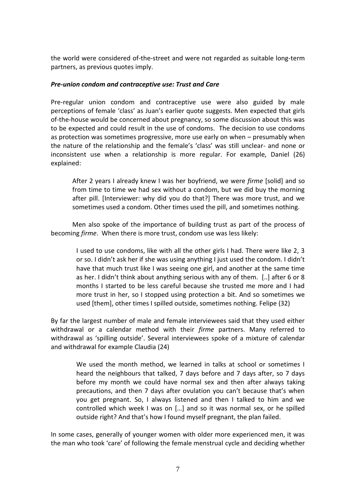the world were considered of-the-street and were not regarded as suitable long-term partners, as previous quotes imply.

## *Pre-union condom and contraceptive use: Trust and Care*

Pre-regular union condom and contraceptive use were also guided by male perceptions of female 'class' as Juan's earlier quote suggests. Men expected that girls of-the-house would be concerned about pregnancy, so some discussion about this was to be expected and could result in the use of condoms. The decision to use condoms as protection was sometimes progressive, more use early on when – presumably when the nature of the relationship and the female's 'class' was still unclear- and none or inconsistent use when a relationship is more regular. For example, Daniel (26) explained:

After 2 years I already knew I was her boyfriend, we were *firme* [solid] and so from time to time we had sex without a condom, but we did buy the morning after pill. [Interviewer: why did you do that?] There was more trust, and we sometimes used a condom. Other times used the pill, and sometimes nothing.

Men also spoke of the importance of building trust as part of the process of becoming *firme*. When there is more trust, condom use was less likely:

I used to use condoms, like with all the other girls I had. There were like 2, 3 or so. I didn't ask her if she was using anything I just used the condom. I didn't have that much trust like I was seeing one girl, and another at the same time as her. I didn't think about anything serious with any of them. [..] after 6 or 8 months I started to be less careful because she trusted me more and I had more trust in her, so I stopped using protection a bit. And so sometimes we used [them], other times I spilled outside, sometimes nothing. Felipe (32)

By far the largest number of male and female interviewees said that they used either withdrawal or a calendar method with their *firme* partners. Many referred to withdrawal as 'spilling outside'. Several interviewees spoke of a mixture of calendar and withdrawal for example Claudia (24)

We used the month method, we learned in talks at school or sometimes I heard the neighbours that talked, 7 days before and 7 days after, so 7 days before my month we could have normal sex and then after always taking precautions, and then 7 days after ovulation you can't because that's when you get pregnant. So, I always listened and then I talked to him and we controlled which week I was on […] and so it was normal sex, or he spilled outside right? And that's how I found myself pregnant, the plan failed.

In some cases, generally of younger women with older more experienced men, it was the man who took 'care' of following the female menstrual cycle and deciding whether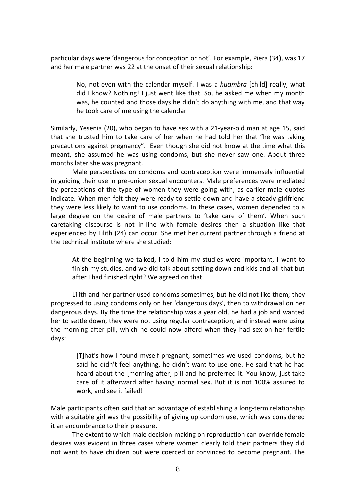particular days were 'dangerous for conception or not'. For example, Piera (34), was 17 and her male partner was 22 at the onset of their sexual relationship:

No, not even with the calendar myself. I was a *huambra* [child] really, what did I know? Nothing! I just went like that. So, he asked me when my month was, he counted and those days he didn't do anything with me, and that way he took care of me using the calendar

Similarly, Yesenia (20), who began to have sex with a 21-year-old man at age 15, said that she trusted him to take care of her when he had told her that "he was taking precautions against pregnancy". Even though she did not know at the time what this meant, she assumed he was using condoms, but she never saw one. About three months later she was pregnant.

Male perspectives on condoms and contraception were immensely influential in guiding their use in pre-union sexual encounters. Male preferences were mediated by perceptions of the type of women they were going with, as earlier male quotes indicate. When men felt they were ready to settle down and have a steady girlfriend they were less likely to want to use condoms. In these cases, women depended to a large degree on the desire of male partners to 'take care of them'. When such caretaking discourse is not in-line with female desires then a situation like that experienced by Lilith (24) can occur. She met her current partner through a friend at the technical institute where she studied:

At the beginning we talked, I told him my studies were important, I want to finish my studies, and we did talk about settling down and kids and all that but after I had finished right? We agreed on that.

Lilith and her partner used condoms sometimes, but he did not like them; they progressed to using condoms only on her 'dangerous days', then to withdrawal on her dangerous days. By the time the relationship was a year old, he had a job and wanted her to settle down, they were not using regular contraception, and instead were using the morning after pill, which he could now afford when they had sex on her fertile days:

[T]hat's how I found myself pregnant, sometimes we used condoms, but he said he didn't feel anything, he didn't want to use one. He said that he had heard about the [morning after] pill and he preferred it. You know, just take care of it afterward after having normal sex. But it is not 100% assured to work, and see it failed!

Male participants often said that an advantage of establishing a long-term relationship with a suitable girl was the possibility of giving up condom use, which was considered it an encumbrance to their pleasure.

The extent to which male decision-making on reproduction can override female desires was evident in three cases where women clearly told their partners they did not want to have children but were coerced or convinced to become pregnant. The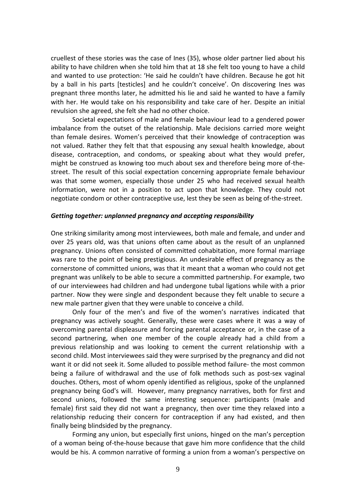cruellest of these stories was the case of Ines (35), whose older partner lied about his ability to have children when she told him that at 18 she felt too young to have a child and wanted to use protection: 'He said he couldn't have children. Because he got hit by a ball in his parts [testicles] and he couldn't conceive'. On discovering Ines was pregnant three months later, he admitted his lie and said he wanted to have a family with her. He would take on his responsibility and take care of her. Despite an initial revulsion she agreed, she felt she had no other choice.

Societal expectations of male and female behaviour lead to a gendered power imbalance from the outset of the relationship. Male decisions carried more weight than female desires. Women's perceived that their knowledge of contraception was not valued. Rather they felt that that espousing any sexual health knowledge, about disease, contraception, and condoms, or speaking about what they would prefer, might be construed as knowing too much about sex and therefore being more of-thestreet. The result of this social expectation concerning appropriate female behaviour was that some women, especially those under 25 who had received sexual health information, were not in a position to act upon that knowledge. They could not negotiate condom or other contraceptive use, lest they be seen as being of-the-street.

#### *Getting together: unplanned pregnancy and accepting responsibility*

One striking similarity among most interviewees, both male and female, and under and over 25 years old, was that unions often came about as the result of an unplanned pregnancy. Unions often consisted of committed cohabitation, more formal marriage was rare to the point of being prestigious. An undesirable effect of pregnancy as the cornerstone of committed unions, was that it meant that a woman who could not get pregnant was unlikely to be able to secure a committed partnership. For example, two of our interviewees had children and had undergone tubal ligations while with a prior partner. Now they were single and despondent because they felt unable to secure a new male partner given that they were unable to conceive a child.

Only four of the men's and five of the women's narratives indicated that pregnancy was actively sought. Generally, these were cases where it was a way of overcoming parental displeasure and forcing parental acceptance or, in the case of a second partnering, when one member of the couple already had a child from a previous relationship and was looking to cement the current relationship with a second child. Most interviewees said they were surprised by the pregnancy and did not want it or did not seek it. Some alluded to possible method failure- the most common being a failure of withdrawal and the use of folk methods such as post-sex vaginal douches. Others, most of whom openly identified as religious, spoke of the unplanned pregnancy being God's will. However, many pregnancy narratives, both for first and second unions, followed the same interesting sequence: participants (male and female) first said they did not want a pregnancy, then over time they relaxed into a relationship reducing their concern for contraception if any had existed, and then finally being blindsided by the pregnancy.

Forming any union, but especially first unions, hinged on the man's perception of a woman being of-the-house because that gave him more confidence that the child would be his. A common narrative of forming a union from a woman's perspective on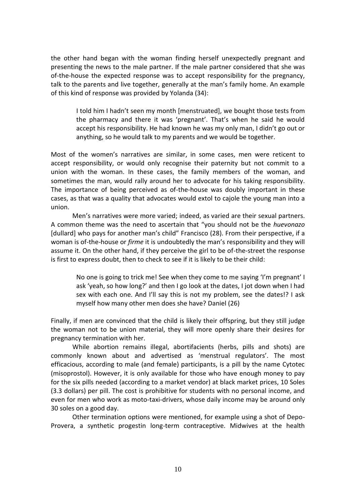the other hand began with the woman finding herself unexpectedly pregnant and presenting the news to the male partner. If the male partner considered that she was of-the-house the expected response was to accept responsibility for the pregnancy, talk to the parents and live together, generally at the man's family home. An example of this kind of response was provided by Yolanda (34):

I told him I hadn't seen my month [menstruated], we bought those tests from the pharmacy and there it was 'pregnant'. That's when he said he would accept his responsibility. He had known he was my only man, I didn't go out or anything, so he would talk to my parents and we would be together.

Most of the women's narratives are similar, in some cases, men were reticent to accept responsibility, or would only recognise their paternity but not commit to a union with the woman. In these cases, the family members of the woman, and sometimes the man, would rally around her to advocate for his taking responsibility. The importance of being perceived as of-the-house was doubly important in these cases, as that was a quality that advocates would extol to cajole the young man into a union.

Men's narratives were more varied; indeed, as varied are their sexual partners. A common theme was the need to ascertain that "you should not be the *huevonazo*  [dullard] who pays for another man's child" Francisco (28). From their perspective, if a woman is of-the-house or *firme* it is undoubtedly the man's responsibility and they will assume it. On the other hand, if they perceive the girl to be of-the-street the response is first to express doubt, then to check to see if it is likely to be their child:

No one is going to trick me! See when they come to me saying 'I'm pregnant' I ask 'yeah, so how long?' and then I go look at the dates, I jot down when I had sex with each one. And I'll say this is not my problem, see the dates!? I ask myself how many other men does she have? Daniel (26)

Finally, if men are convinced that the child is likely their offspring, but they still judge the woman not to be union material, they will more openly share their desires for pregnancy termination with her.

While abortion remains illegal, abortifacients (herbs, pills and shots) are commonly known about and advertised as 'menstrual regulators'. The most efficacious, according to male (and female) participants, is a pill by the name Cytotec (misoprostol). However, it is only available for those who have enough money to pay for the six pills needed (according to a market vendor) at black market prices, 10 Soles (3.3 dollars) per pill. The cost is prohibitive for students with no personal income, and even for men who work as moto-taxi-drivers, whose daily income may be around only 30 soles on a good day.

Other termination options were mentioned, for example using a shot of Depo-Provera, a synthetic progestin long-term contraceptive. Midwives at the health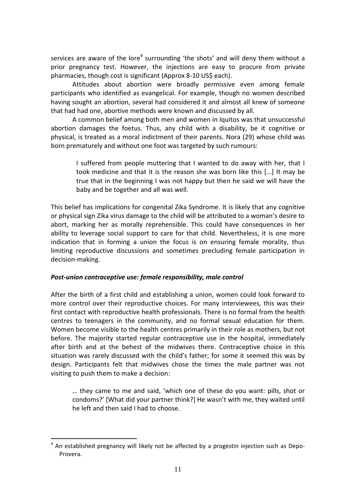services are aware of the lore<sup>4</sup> surrounding 'the shots' and will deny them without a prior pregnancy test. However, the injections are easy to procure from private pharmacies, though cost is significant (Approx 8-10 US\$ each).

Attitudes about abortion were broadly permissive even among female participants who identified as evangelical. For example, though no women described having sought an abortion, several had considered it and almost all knew of someone that had had one, abortive methods were known and discussed by all.

A common belief among both men and women in Iquitos was that unsuccessful abortion damages the foetus. Thus, any child with a disability, be it cognitive or physical, is treated as a moral indictment of their parents. Nora (29) whose child was born prematurely and without one foot was targeted by such rumours:

I suffered from people muttering that I wanted to do away with her, that I took medicine and that it is the reason she was born like this […] It may be true that in the beginning I was not happy but then he said we will have the baby and be together and all was well.

This belief has implications for congenital Zika Syndrome. It is likely that any cognitive or physical sign Zika virus damage to the child will be attributed to a woman's desire to abort, marking her as morally reprehensible. This could have consequences in her ability to leverage social support to care for that child. Nevertheless, it is one more indication that in forming a union the focus is on ensuring female morality, thus limiting reproductive discussions and sometimes precluding female participation in decision-making.

## *Post-union contraceptive use: female responsibility, male control*

After the birth of a first child and establishing a union, women could look forward to more control over their reproductive choices. For many interviewees, this was their first contact with reproductive health professionals. There is no formal from the health centres to teenagers in the community, and no formal sexual education for them. Women become visible to the health centres primarily in their role as mothers, but not before. The majority started regular contraceptive use in the hospital, immediately after birth and at the behest of the midwives there. Contraceptive choice in this situation was rarely discussed with the child's father; for some it seemed this was by design. Participants felt that midwives chose the times the male partner was not visiting to push them to make a decision:

… they came to me and said, 'which one of these do you want: pills, shot or condoms?' [What did your partner think?] He wasn't with me, they waited until he left and then said I had to choose.

 $<sup>4</sup>$  An established pregnancy will likely not be affected by a progestin injection such as Depo-</sup> Provera.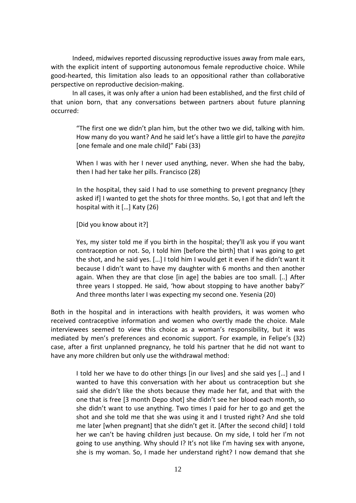Indeed, midwives reported discussing reproductive issues away from male ears, with the explicit intent of supporting autonomous female reproductive choice. While good-hearted, this limitation also leads to an oppositional rather than collaborative perspective on reproductive decision-making.

In all cases, it was only after a union had been established, and the first child of that union born, that any conversations between partners about future planning occurred:

"The first one we didn't plan him, but the other two we did, talking with him. How many do you want? And he said let's have a little girl to have the *parejita* [one female and one male child]" Fabi (33)

When I was with her I never used anything, never. When she had the baby, then I had her take her pills. Francisco (28)

In the hospital, they said I had to use something to prevent pregnancy [they asked if] I wanted to get the shots for three months. So, I got that and left the hospital with it […] Katy (26)

[Did you know about it?]

Yes, my sister told me if you birth in the hospital; they'll ask you if you want contraception or not. So, I told him [before the birth] that I was going to get the shot, and he said yes. […] I told him I would get it even if he didn't want it because I didn't want to have my daughter with 6 months and then another again. When they are that close [in age] the babies are too small. [..] After three years I stopped. He said, 'how about stopping to have another baby?' And three months later I was expecting my second one. Yesenia (20)

Both in the hospital and in interactions with health providers, it was women who received contraceptive information and women who overtly made the choice. Male interviewees seemed to view this choice as a woman's responsibility, but it was mediated by men's preferences and economic support. For example, in Felipe's (32) case, after a first unplanned pregnancy, he told his partner that he did not want to have any more children but only use the withdrawal method:

I told her we have to do other things [in our lives] and she said yes […] and I wanted to have this conversation with her about us contraception but she said she didn't like the shots because they made her fat, and that with the one that is free [3 month Depo shot] she didn't see her blood each month, so she didn't want to use anything. Two times I paid for her to go and get the shot and she told me that she was using it and I trusted right? And she told me later [when pregnant] that she didn't get it. [After the second child] I told her we can't be having children just because. On my side, I told her I'm not going to use anything. Why should I? It's not like I'm having sex with anyone, she is my woman. So, I made her understand right? I now demand that she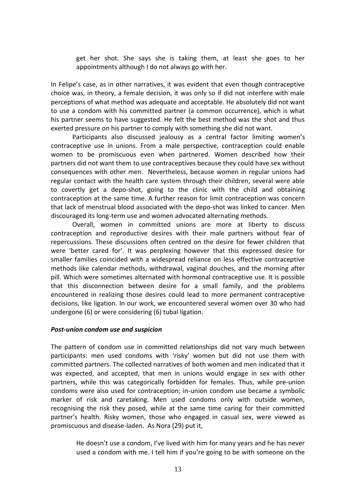get her shot. She says she is taking them, at least she goes to her appointments although I do not always go with her.

In Felipe's case, as in other narratives, it was evident that even though contraceptive choice was, in theory, a female decision, it was only so if did not interfere with male perceptions of what method was adequate and acceptable. He absolutely did not want to use a condom with his committed partner (a common occurrence), which is what his partner seems to have suggested. He felt the best method was the shot and thus exerted pressure on his partner to comply with something she did not want.

Participants also discussed jealousy as a central factor limiting women's contraceptive use in unions. From a male perspective, contraception could enable women to be promiscuous even when partnered. Women described how their partners did not want them to use contraceptives because they could have sex without consequences with other men. Nevertheless, because women in regular unions had regular contact with the health care system through their children, several were able to covertly get a depo-shot, going to the clinic with the child and obtaining contraception at the same time. A further reason for limit contraception was concern that lack of menstrual blood associated with the depo-shot was linked to cancer. Men discouraged its long-term use and women advocated alternating methods.

Overall, women in committed unions are more at liberty to discuss contraception and reproductive desires with their male partners without fear of repercussions. These discussions often centred on the desire for fewer children that were 'better cared for'. It was perplexing however that this expressed desire for smaller families coincided with a widespread reliance on less effective contraceptive methods like calendar methods, withdrawal, vaginal douches, and the morning after pill. Which were sometimes alternated with hormonal contraceptive use. It is possible that this disconnection between desire for a small family, and the problems encountered in realizing those desires could lead to more permanent contraceptive decisions, like ligation. In our work, we encountered several women over 30 who had undergone (6) or were considering (6) tubal ligation.

#### *Post-union condom use and suspicion*

The pattern of condom use in committed relationships did not vary much between participants: men used condoms with 'risky' women but did not use them with committed partners. The collected narratives of both women and men indicated that it was expected, and accepted, that men in unions would engage in sex with other partners, while this was categorically forbidden for females. Thus, while pre-union condoms were also used for contraception; in-union condom use became a symbolic marker of risk and caretaking. Men used condoms only with outside women, recognising the risk they posed, while at the same time caring for their committed partner's health. Risky women, those who engaged in casual sex, were viewed as promiscuous and disease-laden. As Nora (29) put it,

He doesn't use a condom, I've lived with him for many years and he has never used a condom with me. I tell him if you're going to be with someone on the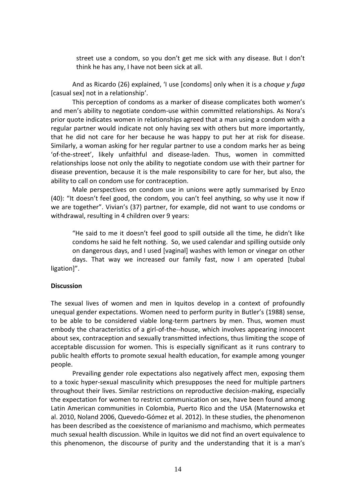street use a condom, so you don't get me sick with any disease. But I don't think he has any, I have not been sick at all.

And as Ricardo (26) explained, 'I use [condoms] only when it is a *choque y fuga* [casual sex] not in a relationship'.

This perception of condoms as a marker of disease complicates both women's and men's ability to negotiate condom-use within committed relationships. As Nora's prior quote indicates women in relationships agreed that a man using a condom with a regular partner would indicate not only having sex with others but more importantly, that he did not care for her because he was happy to put her at risk for disease. Similarly, a woman asking for her regular partner to use a condom marks her as being 'of-the-street', likely unfaithful and disease-laden. Thus, women in committed relationships loose not only the ability to negotiate condom use with their partner for disease prevention, because it is the male responsibility to care for her, but also, the ability to call on condom use for contraception.

Male perspectives on condom use in unions were aptly summarised by Enzo (40): "It doesn't feel good, the condom, you can't feel anything, so why use it now if we are together". Vivian's (37) partner, for example, did not want to use condoms or withdrawal, resulting in 4 children over 9 years:

"He said to me it doesn't feel good to spill outside all the time, he didn't like condoms he said he felt nothing. So, we used calendar and spilling outside only on dangerous days, and I used [vaginal] washes with lemon or vinegar on other days. That way we increased our family fast, now I am operated [tubal ligation]".

#### **Discussion**

The sexual lives of women and men in Iquitos develop in a context of profoundly unequal gender expectations. Women need to perform purity in Butler's (1988) sense, to be able to be considered viable long-term partners by men. Thus, women must embody the characteristics of a girl-of-the--house, which involves appearing innocent about sex, contraception and sexually transmitted infections, thus limiting the scope of acceptable discussion for women. This is especially significant as it runs contrary to public health efforts to promote sexual health education, for example among younger people.

Prevailing gender role expectations also negatively affect men, exposing them to a toxic hyper-sexual masculinity which presupposes the need for multiple partners throughout their lives. Similar restrictions on reproductive decision-making, especially the expectation for women to restrict communication on sex, have been found among Latin American communities in Colombia, Puerto Rico and the USA (Maternowska et al. 2010, Noland 2006, Quevedo-Gómez et al. 2012). In these studies, the phenomenon has been described as the coexistence of marianismo and machismo, which permeates much sexual health discussion. While in Iquitos we did not find an overt equivalence to this phenomenon, the discourse of purity and the understanding that it is a man's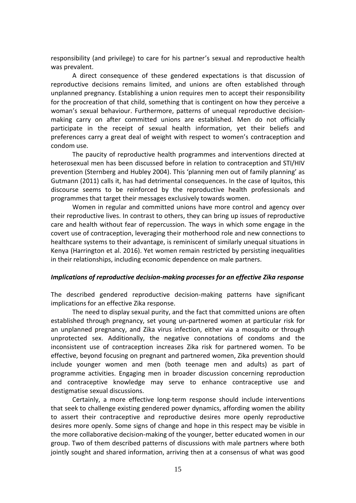responsibility (and privilege) to care for his partner's sexual and reproductive health was prevalent.

A direct consequence of these gendered expectations is that discussion of reproductive decisions remains limited, and unions are often established through unplanned pregnancy. Establishing a union requires men to accept their responsibility for the procreation of that child, something that is contingent on how they perceive a woman's sexual behaviour. Furthermore, patterns of unequal reproductive decisionmaking carry on after committed unions are established. Men do not officially participate in the receipt of sexual health information, yet their beliefs and preferences carry a great deal of weight with respect to women's contraception and condom use.

The paucity of reproductive health programmes and interventions directed at heterosexual men has been discussed before in relation to contraception and STI/HIV prevention (Sternberg and Hubley 2004). This 'planning men out of family planning' as Gutmann (2011) calls it, has had detrimental consequences. In the case of Iquitos, this discourse seems to be reinforced by the reproductive health professionals and programmes that target their messages exclusively towards women.

Women in regular and committed unions have more control and agency over their reproductive lives. In contrast to others, they can bring up issues of reproductive care and health without fear of repercussion. The ways in which some engage in the covert use of contraception, leveraging their motherhood role and new connections to healthcare systems to their advantage, is reminiscent of similarly unequal situations in Kenya (Harrington et al. 2016). Yet women remain restricted by persisting inequalities in their relationships, including economic dependence on male partners.

## *Implications of reproductive decision-making processes for an effective Zika response*

The described gendered reproductive decision-making patterns have significant implications for an effective Zika response.

The need to display sexual purity, and the fact that committed unions are often established through pregnancy, set young un-partnered women at particular risk for an unplanned pregnancy, and Zika virus infection, either via a mosquito or through unprotected sex. Additionally, the negative connotations of condoms and the inconsistent use of contraception increases Zika risk for partnered women. To be effective, beyond focusing on pregnant and partnered women, Zika prevention should include younger women and men (both teenage men and adults) as part of programme activities. Engaging men in broader discussion concerning reproduction and contraceptive knowledge may serve to enhance contraceptive use and destigmatise sexual discussions.

Certainly, a more effective long-term response should include interventions that seek to challenge existing gendered power dynamics, affording women the ability to assert their contraceptive and reproductive desires more openly reproductive desires more openly. Some signs of change and hope in this respect may be visible in the more collaborative decision-making of the younger, better educated women in our group. Two of them described patterns of discussions with male partners where both jointly sought and shared information, arriving then at a consensus of what was good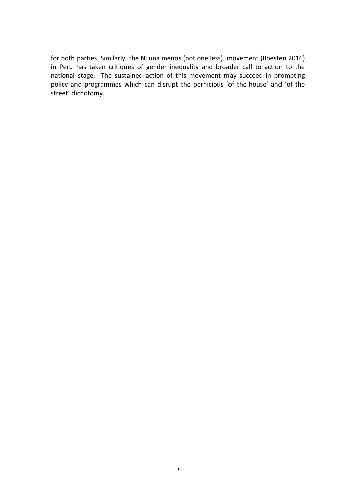for both parties. Similarly, the Ni una menos (not one less) movement (Boesten 2016) in Peru has taken critiques of gender inequality and broader call to action to the national stage. The sustained action of this movement may succeed in prompting policy and programmes which can disrupt the pernicious 'of the-house' and 'of the street' dichotomy.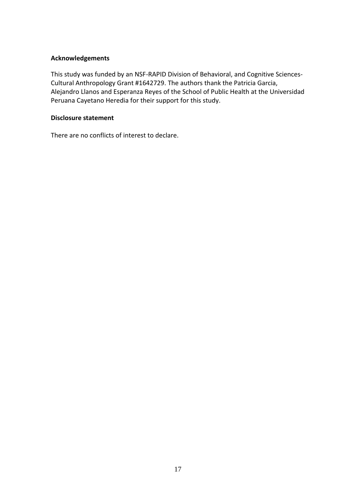# **Acknowledgements**

This study was funded by an NSF-RAPID Division of Behavioral, and Cognitive Sciences-Cultural Anthropology Grant #1642729. The authors thank the Patricia Garcia, Alejandro Llanos and Esperanza Reyes of the School of Public Health at the Universidad Peruana Cayetano Heredia for their support for this study.

## **Disclosure statement**

There are no conflicts of interest to declare.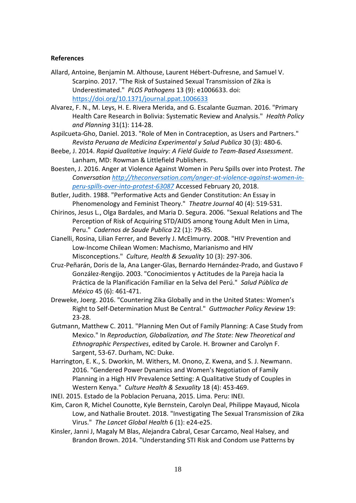## **References**

- Allard, Antoine, Benjamin M. Althouse, Laurent Hébert-Dufresne, and Samuel V. Scarpino. 2017. "The Risk of Sustained Sexual Transmission of Zika is Underestimated." *PLOS Pathogens* 13 (9): e1006633. doi: <https://doi.org/10.1371/journal.ppat.1006633>
- Alvarez, F. N., M. Leys, H. E. Rivera Merida, and G. Escalante Guzman. 2016. "Primary Health Care Research in Bolivia: Systematic Review and Analysis." *Health Policy and Planning* 31(1): 114-28.
- Aspilcueta-Gho, Daniel. 2013. "Role of Men in Contraception, as Users and Partners." *Revista Peruana de Medicina Experimental y Salud Publica* 30 (3): 480-6.
- Beebe, J. 2014. *Rapid Qualitative Inquiry: A Field Guide to Team-Based Assessment*. Lanham, MD: Rowman & Littlefield Publishers.
- Boesten, J. 2016. Anger at Violence Against Women in Peru Spills over into Protest. *The Conversation [http://theconversation.com/anger-at-violence-against-women-in](http://theconversation.com/anger-at-violence-against-women-in-peru-spills-over-into-protest-63087)[peru-spills-over-into-protest-63087](http://theconversation.com/anger-at-violence-against-women-in-peru-spills-over-into-protest-63087)* Accessed February 20, 2018.
- Butler, Judith. 1988. "Performative Acts and Gender Constitution: An Essay in Phenomenology and Feminist Theory." *Theatre Journal* 40 (4): 519-531.
- Chirinos, Jesus L., Olga Bardales, and Maria D. Segura. 2006. "Sexual Relations and The Perception of Risk of Acquiring STD/AIDS among Young Adult Men in Lima, Peru." *Cadernos de Saude Publica* 22 (1): 79-85.
- Cianelli, Rosina, Lilian Ferrer, and Beverly J. McElmurry. 2008. "HIV Prevention and Low-Income Chilean Women: Machismo, Marianismo and HIV Misconceptions." *Culture, Health & Sexuality* 10 (3): 297-306.
- Cruz-Peñarán, Doris de la, Ana Langer-Glas, Bernardo Hernández-Prado, and Gustavo F González-Rengijo. 2003. "Conocimientos y Actitudes de la Pareja hacia la Práctica de la Planificación Familiar en la Selva del Perú." *Salud Pública de México* 45 (6): 461-471.
- Dreweke, Joerg. 2016. "Countering Zika Globally and in the United States: Women's Right to Self-Determination Must Be Central." *Guttmacher Policy Review* 19: 23-28.
- Gutmann, Matthew C. 2011. "Planning Men Out of Family Planning: A Case Study from Mexico." In *Reproduction, Globalization, and The State: New Theoretical and Ethnographic Perspectives*, edited by Carole. H. Browner and Carolyn F. Sargent, 53-67. Durham, NC: Duke.
- Harrington, E. K., S. Dworkin, M. Withers, M. Onono, Z. Kwena, and S. J. Newmann. 2016. "Gendered Power Dynamics and Women's Negotiation of Family Planning in a High HIV Prevalence Setting: A Qualitative Study of Couples in Western Kenya." *Culture Health & Sexuality* 18 (4): 453-469.
- INEI. 2015. Estado de la Poblacion Peruana, 2015. Lima. Peru: INEI.
- Kim, Caron R, Michel Counotte, Kyle Bernstein, Carolyn Deal, Philippe Mayaud, Nicola Low, and Nathalie Broutet. 2018. "Investigating The Sexual Transmission of Zika Virus." *The Lancet Global Health* 6 (1): e24-e25.
- Kinsler, Janni J, Magaly M Blas, Alejandra Cabral, Cesar Carcamo, Neal Halsey, and Brandon Brown. 2014. "Understanding STI Risk and Condom use Patterns by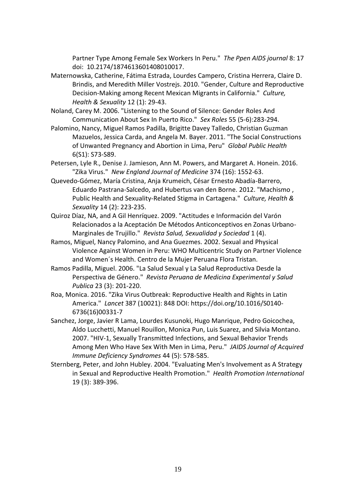Partner Type Among Female Sex Workers In Peru." *The Ppen AIDS journal* 8: 17 doi: 10.2174/1874613601408010017.

- Maternowska, Catherine, Fátima Estrada, Lourdes Campero, Cristina Herrera, Claire D. Brindis, and Meredith Miller Vostrejs. 2010. "Gender, Culture and Reproductive Decision-Making among Recent Mexican Migrants in California." *Culture, Health & Sexuality* 12 (1): 29-43.
- Noland, Carey M. 2006. "Listening to the Sound of Silence: Gender Roles And Communication About Sex In Puerto Rico." *Sex Roles* 55 (5-6):283-294.
- Palomino, Nancy, Miguel Ramos Padilla, Brigitte Davey Talledo, Christian Guzman Mazuelos, Jessica Carda, and Angela M. Bayer. 2011. "The Social Constructions of Unwanted Pregnancy and Abortion in Lima, Peru" *Global Public Health* 6(S1): S73-S89.
- Petersen, Lyle R., Denise J. Jamieson, Ann M. Powers, and Margaret A. Honein. 2016. "Zika Virus." *New England Journal of Medicine* 374 (16): 1552-63.
- Quevedo-Gómez, María Cristina, Anja Krumeich, César Ernesto Abadía-Barrero, Eduardo Pastrana-Salcedo, and Hubertus van den Borne. 2012. "Machismo , Public Health and Sexuality-Related Stigma in Cartagena." *Culture, Health & Sexuality* 14 (2): 223-235.
- Quiroz Díaz, NA, and A Gil Henríquez. 2009. "Actitudes e Información del Varón Relacionados a la Aceptación De Métodos Anticonceptivos en Zonas Urbano-Marginales de Trujillo." *Revista Salud, Sexualidad y Sociedad* 1 (4).
- Ramos, Miguel, Nancy Palomino, and Ana Guezmes. 2002. Sexual and Physical Violence Against Women in Peru: WHO Multicentric Study on Partner Violence and Women´s Health. Centro de la Mujer Peruana Flora Tristan.
- Ramos Padilla, Miguel. 2006. "La Salud Sexual y La Salud Reproductiva Desde la Perspectiva de Género." *Revista Peruana de Medicina Experimental y Salud Publica* 23 (3): 201-220.
- Roa, Monica. 2016. "Zika Virus Outbreak: Reproductive Health and Rights in Latin America." *Lancet* 387 (10021): 848 DOI: https://doi.org/10.1016/S0140- 6736(16)00331-7
- Sanchez, Jorge, Javier R Lama, Lourdes Kusunoki, Hugo Manrique, Pedro Goicochea, Aldo Lucchetti, Manuel Rouillon, Monica Pun, Luis Suarez, and Silvia Montano. 2007. "HIV-1, Sexually Transmitted Infections, and Sexual Behavior Trends Among Men Who Have Sex With Men in Lima, Peru." *JAIDS Journal of Acquired Immune Deficiency Syndromes* 44 (5): 578-585.
- Sternberg, Peter, and John Hubley. 2004. "Evaluating Men's Involvement as A Strategy in Sexual and Reproductive Health Promotion." *Health Promotion International* 19 (3): 389-396.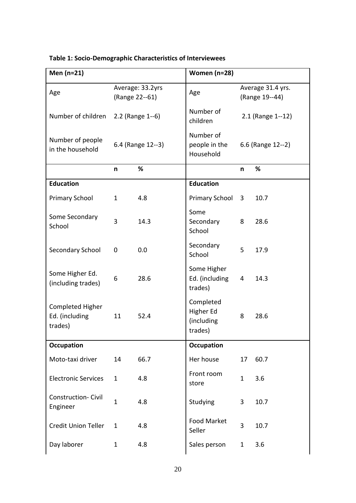| Men (n=21)                                    |                   |                                    | Women (n=28)                                    |                   |                                     |  |
|-----------------------------------------------|-------------------|------------------------------------|-------------------------------------------------|-------------------|-------------------------------------|--|
| Age                                           |                   | Average: 33.2yrs<br>(Range 22--61) | Age                                             |                   | Average 31.4 yrs.<br>(Range 19--44) |  |
| Number of children                            | 2.2 (Range 1--6)  |                                    | Number of<br>children                           |                   | 2.1 (Range 1--12)                   |  |
| Number of people<br>in the household          | 6.4 (Range 12--3) |                                    | Number of<br>people in the<br>Household         | 6.6 (Range 12--2) |                                     |  |
|                                               | n                 | %                                  |                                                 | n                 | %                                   |  |
| <b>Education</b>                              |                   |                                    | <b>Education</b>                                |                   |                                     |  |
| <b>Primary School</b>                         | $\mathbf{1}$      | 4.8                                | Primary School                                  | $\overline{3}$    | 10.7                                |  |
| Some Secondary<br>School                      | 3                 | 14.3                               | Some<br>Secondary<br>School                     | 8                 | 28.6                                |  |
| Secondary School                              | $\mathbf 0$       | 0.0                                | Secondary<br>School                             | 5                 | 17.9                                |  |
| Some Higher Ed.<br>(including trades)         | 6                 | 28.6                               | Some Higher<br>Ed. (including<br>trades)        | 4                 | 14.3                                |  |
| Completed Higher<br>Ed. (including<br>trades) | 11                | 52.4                               | Completed<br>Higher Ed<br>(including<br>trades) | 8                 | 28.6                                |  |
| <b>Occupation</b>                             |                   |                                    | <b>Occupation</b>                               |                   |                                     |  |
| Moto-taxi driver                              | 14                | 66.7                               | Her house                                       | 17                | 60.7                                |  |
| <b>Electronic Services</b>                    | $\mathbf{1}$      | 4.8                                | Front room<br>store                             | $\mathbf{1}$      | 3.6                                 |  |
| <b>Construction- Civil</b><br>Engineer        | $\mathbf{1}$      | 4.8                                | Studying                                        | 3                 | 10.7                                |  |
| <b>Credit Union Teller</b>                    | $\mathbf{1}$      | 4.8                                | <b>Food Market</b><br>Seller                    | 3                 | 10.7                                |  |
| Day laborer                                   | $\mathbf{1}$      | 4.8                                | Sales person                                    | $\mathbf{1}$      | 3.6                                 |  |

**Table 1: Socio-Demographic Characteristics of Interviewees**